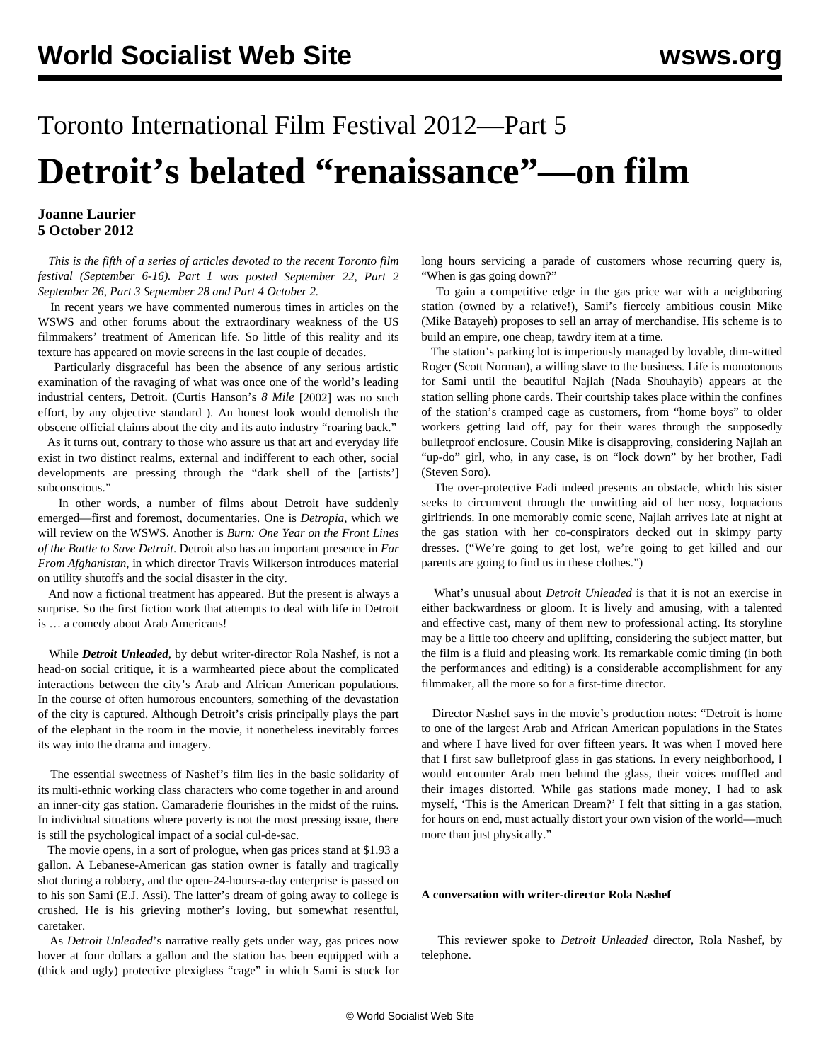# Toronto International Film Festival 2012—Part 5 **Detroit's belated "renaissance"—on film**

## **Joanne Laurier 5 October 2012**

 *This is the fifth of a series of articles devoted to the recent Toronto film festival (September 6-16). [Part 1](/en/articles/2012/sep2012/tff1-s22.shtml) was posted September 22*, *[Part 2](/en/articles/2012/sep2012/tff2-s26.shtml) September 26*, *[Part 3](/en/articles/2012/sep2012/tff3-s28.shtml) September 28 and [Part 4](/en/articles/2012/oct2012/tff4-o02.shtml) October 2.*

 In recent years we have commented numerous times in articles on the WSWS and other forums about the extraordinary weakness of the US filmmakers' treatment of American life. So little of this reality and its texture has appeared on movie screens in the last couple of decades.

 Particularly disgraceful has been the absence of any serious artistic examination of the ravaging of what was once one of the world's leading industrial centers, Detroit. (Curtis Hanson's *[8 Mile](/en/articles/2002/nov2002/8mil-n13.shtml)* [2002] was no such effort, by any objective standard ). An honest look would demolish the obscene official claims about the city and its auto industry "roaring back."

 As it turns out, contrary to those who assure us that art and everyday life exist in two distinct realms, external and indifferent to each other, social developments are pressing through the "dark shell of the [artists'] subconscious."

 In other words, a number of films about Detroit have suddenly emerged—first and foremost, documentaries. One is *Detropia*, which we will review on the WSWS. Another is *[Burn: One Year on the Front Lines](/en/articles/2012/oct2012/burn-o03.shtml) [of the Battle to Save Detroit](/en/articles/2012/oct2012/burn-o03.shtml)*. Detroit also has an important presence in *[Far](/en/articles/2012/oct2012/tff4-o02.shtml) [From Afghanistan](/en/articles/2012/oct2012/tff4-o02.shtml)*, in which director Travis Wilkerson introduces material on utility shutoffs and the social disaster in the city.

 And now a fictional treatment has appeared. But the present is always a surprise. So the first fiction work that attempts to deal with life in Detroit is … a comedy about Arab Americans!

 While *Detroit Unleaded*, by debut writer-director Rola Nashef, is not a head-on social critique, it is a warmhearted piece about the complicated interactions between the city's Arab and African American populations. In the course of often humorous encounters, something of the devastation of the city is captured. Although Detroit's crisis principally plays the part of the elephant in the room in the movie, it nonetheless inevitably forces its way into the drama and imagery.

 The essential sweetness of Nashef's film lies in the basic solidarity of its multi-ethnic working class characters who come together in and around an inner-city gas station. Camaraderie flourishes in the midst of the ruins. In individual situations where poverty is not the most pressing issue, there is still the psychological impact of a social cul-de-sac.

 The movie opens, in a sort of prologue, when gas prices stand at \$1.93 a gallon. A Lebanese-American gas station owner is fatally and tragically shot during a robbery, and the open-24-hours-a-day enterprise is passed on to his son Sami (E.J. Assi). The latter's dream of going away to college is crushed. He is his grieving mother's loving, but somewhat resentful, caretaker.

 As *Detroit Unleaded*'s narrative really gets under way, gas prices now hover at four dollars a gallon and the station has been equipped with a (thick and ugly) protective plexiglass "cage" in which Sami is stuck for long hours servicing a parade of customers whose recurring query is, "When is gas going down?"

 To gain a competitive edge in the gas price war with a neighboring station (owned by a relative!), Sami's fiercely ambitious cousin Mike (Mike Batayeh) proposes to sell an array of merchandise. His scheme is to build an empire, one cheap, tawdry item at a time.

 The station's parking lot is imperiously managed by lovable, dim-witted Roger (Scott Norman), a willing slave to the business. Life is monotonous for Sami until the beautiful Najlah (Nada Shouhayib) appears at the station selling phone cards. Their courtship takes place within the confines of the station's cramped cage as customers, from "home boys" to older workers getting laid off, pay for their wares through the supposedly bulletproof enclosure. Cousin Mike is disapproving, considering Najlah an "up-do" girl, who, in any case, is on "lock down" by her brother, Fadi (Steven Soro).

 The over-protective Fadi indeed presents an obstacle, which his sister seeks to circumvent through the unwitting aid of her nosy, loquacious girlfriends. In one memorably comic scene, Najlah arrives late at night at the gas station with her co-conspirators decked out in skimpy party dresses. ("We're going to get lost, we're going to get killed and our parents are going to find us in these clothes.")

 What's unusual about *Detroit Unleaded* is that it is not an exercise in either backwardness or gloom. It is lively and amusing, with a talented and effective cast, many of them new to professional acting. Its storyline may be a little too cheery and uplifting, considering the subject matter, but the film is a fluid and pleasing work. Its remarkable comic timing (in both the performances and editing) is a considerable accomplishment for any filmmaker, all the more so for a first-time director.

 Director Nashef says in the movie's production notes: "Detroit is home to one of the largest Arab and African American populations in the States and where I have lived for over fifteen years. It was when I moved here that I first saw bulletproof glass in gas stations. In every neighborhood, I would encounter Arab men behind the glass, their voices muffled and their images distorted. While gas stations made money, I had to ask myself, 'This is the American Dream?' I felt that sitting in a gas station, for hours on end, must actually distort your own vision of the world—much more than just physically."

#### **A conversation with writer-director Rola Nashef**

 This reviewer spoke to *Detroit Unleaded* director, Rola Nashef, by telephone.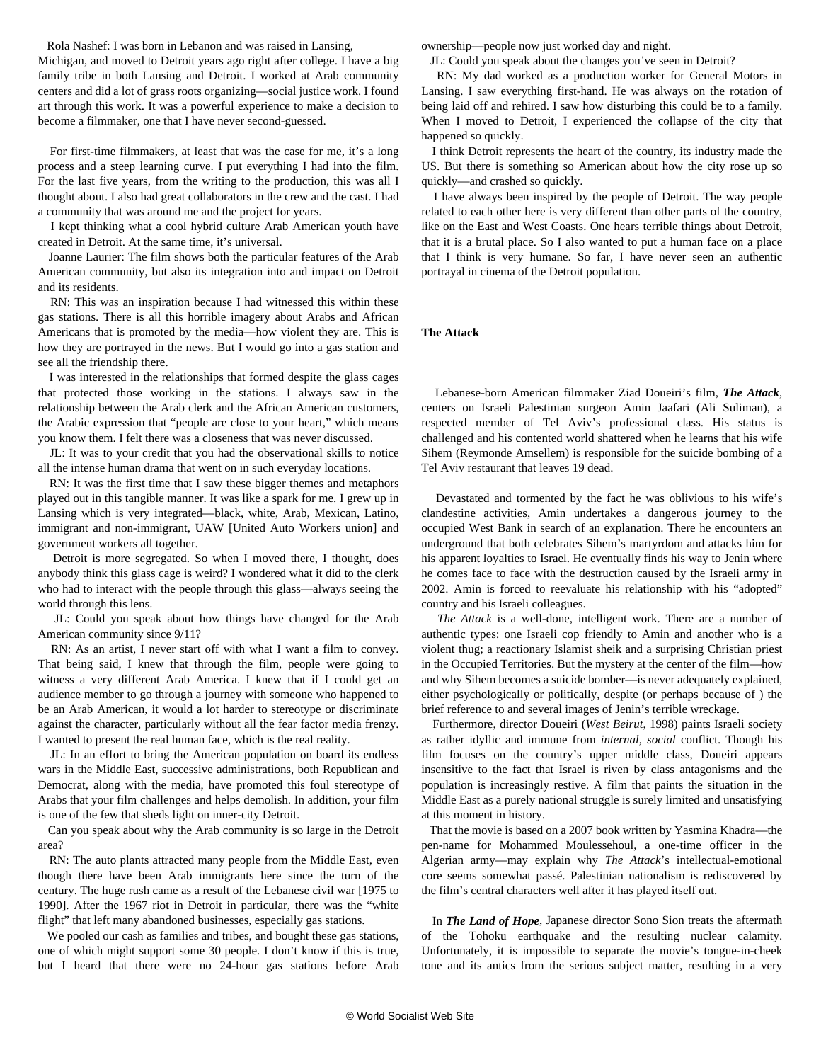Rola Nashef: I was born in Lebanon and was raised in Lansing,

Michigan, and moved to Detroit years ago right after college. I have a big family tribe in both Lansing and Detroit. I worked at Arab community centers and did a lot of grass roots organizing—social justice work. I found art through this work. It was a powerful experience to make a decision to become a filmmaker, one that I have never second-guessed.

 For first-time filmmakers, at least that was the case for me, it's a long process and a steep learning curve. I put everything I had into the film. For the last five years, from the writing to the production, this was all I thought about. I also had great collaborators in the crew and the cast. I had a community that was around me and the project for years.

 I kept thinking what a cool hybrid culture Arab American youth have created in Detroit. At the same time, it's universal.

 Joanne Laurier: The film shows both the particular features of the Arab American community, but also its integration into and impact on Detroit and its residents.

 RN: This was an inspiration because I had witnessed this within these gas stations. There is all this horrible imagery about Arabs and African Americans that is promoted by the media—how violent they are. This is how they are portrayed in the news. But I would go into a gas station and see all the friendship there.

 I was interested in the relationships that formed despite the glass cages that protected those working in the stations. I always saw in the relationship between the Arab clerk and the African American customers, the Arabic expression that "people are close to your heart," which means you know them. I felt there was a closeness that was never discussed.

 JL: It was to your credit that you had the observational skills to notice all the intense human drama that went on in such everyday locations.

 RN: It was the first time that I saw these bigger themes and metaphors played out in this tangible manner. It was like a spark for me. I grew up in Lansing which is very integrated—black, white, Arab, Mexican, Latino, immigrant and non-immigrant, UAW [United Auto Workers union] and government workers all together.

 Detroit is more segregated. So when I moved there, I thought, does anybody think this glass cage is weird? I wondered what it did to the clerk who had to interact with the people through this glass—always seeing the world through this lens.

 JL: Could you speak about how things have changed for the Arab American community since 9/11?

 RN: As an artist, I never start off with what I want a film to convey. That being said, I knew that through the film, people were going to witness a very different Arab America. I knew that if I could get an audience member to go through a journey with someone who happened to be an Arab American, it would a lot harder to stereotype or discriminate against the character, particularly without all the fear factor media frenzy. I wanted to present the real human face, which is the real reality.

 JL: In an effort to bring the American population on board its endless wars in the Middle East, successive administrations, both Republican and Democrat, along with the media, have promoted this foul stereotype of Arabs that your film challenges and helps demolish. In addition, your film is one of the few that sheds light on inner-city Detroit.

 Can you speak about why the Arab community is so large in the Detroit area?

 RN: The auto plants attracted many people from the Middle East, even though there have been Arab immigrants here since the turn of the century. The huge rush came as a result of the Lebanese civil war [1975 to 1990]. After the 1967 riot in Detroit in particular, there was the "white flight" that left many abandoned businesses, especially gas stations.

 We pooled our cash as families and tribes, and bought these gas stations, one of which might support some 30 people. I don't know if this is true, but I heard that there were no 24-hour gas stations before Arab

ownership—people now just worked day and night.

JL: Could you speak about the changes you've seen in Detroit?

 RN: My dad worked as a production worker for General Motors in Lansing. I saw everything first-hand. He was always on the rotation of being laid off and rehired. I saw how disturbing this could be to a family. When I moved to Detroit, I experienced the collapse of the city that happened so quickly.

 I think Detroit represents the heart of the country, its industry made the US. But there is something so American about how the city rose up so quickly—and crashed so quickly.

 I have always been inspired by the people of Detroit. The way people related to each other here is very different than other parts of the country, like on the East and West Coasts. One hears terrible things about Detroit, that it is a brutal place. So I also wanted to put a human face on a place that I think is very humane. So far, I have never seen an authentic portrayal in cinema of the Detroit population.

### **The Attack**

 Lebanese-born American filmmaker Ziad Doueiri's film, *The Attack*, centers on Israeli Palestinian surgeon Amin Jaafari (Ali Suliman), a respected member of Tel Aviv's professional class. His status is challenged and his contented world shattered when he learns that his wife Sihem (Reymonde Amsellem) is responsible for the suicide bombing of a Tel Aviv restaurant that leaves 19 dead.

 Devastated and tormented by the fact he was oblivious to his wife's clandestine activities, Amin undertakes a dangerous journey to the occupied West Bank in search of an explanation. There he encounters an underground that both celebrates Sihem's martyrdom and attacks him for his apparent loyalties to Israel. He eventually finds his way to Jenin where he comes face to face with the destruction caused by the Israeli army in 2002. Amin is forced to reevaluate his relationship with his "adopted" country and his Israeli colleagues.

 *The Attack* is a well-done, intelligent work. There are a number of authentic types: one Israeli cop friendly to Amin and another who is a violent thug; a reactionary Islamist sheik and a surprising Christian priest in the Occupied Territories. But the mystery at the center of the film—how and why Sihem becomes a suicide bomber—is never adequately explained, either psychologically or politically, despite (or perhaps because of ) the brief reference to and several images of Jenin's terrible wreckage.

 Furthermore, director Doueiri (*West Beirut*, 1998) paints Israeli society as rather idyllic and immune from *internal, social* conflict. Though his film focuses on the country's upper middle class, Doueiri appears insensitive to the fact that Israel is riven by class antagonisms and the population is increasingly restive. A film that paints the situation in the Middle East as a purely national struggle is surely limited and unsatisfying at this moment in history.

 That the movie is based on a 2007 book written by Yasmina Khadra—the pen-name for Mohammed Moulessehoul, a one-time officer in the Algerian army—may explain why *The Attack*'s intellectual-emotional core seems somewhat passé. Palestinian nationalism is rediscovered by the film's central characters well after it has played itself out.

 In *The Land of Hope*, Japanese director Sono Sion treats the aftermath of the Tohoku earthquake and the resulting nuclear calamity. Unfortunately, it is impossible to separate the movie's tongue-in-cheek tone and its antics from the serious subject matter, resulting in a very